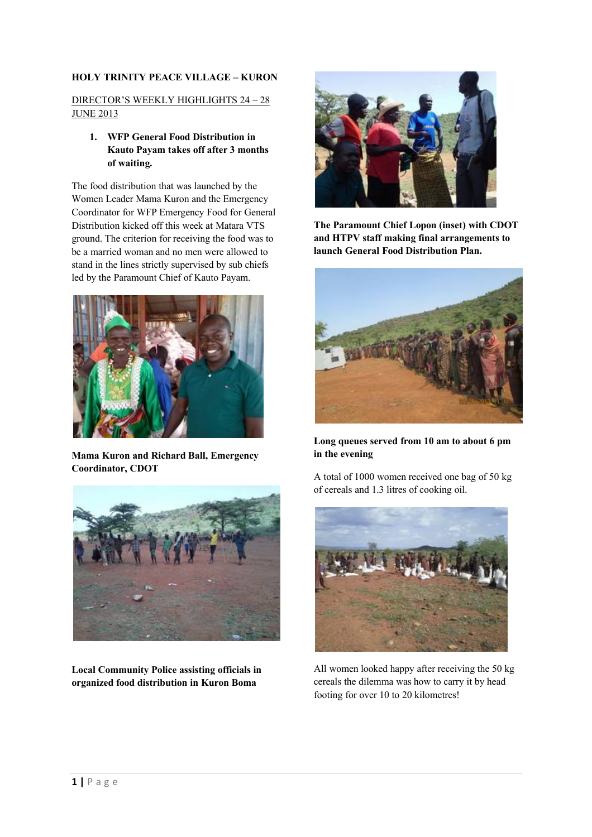## **HOLY TRINITY PEACE VILLAGE – KURON**

## DIRECTOR'S WEEKLY HIGHLIGHTS 24 – 28 **JUNE 2013**

## **1. WFP General Food Distribution in Kauto Payam takes off after 3 months of waiting.**

The food distribution that was launched by the Women Leader Mama Kuron and the Emergency Coordinator for WFP Emergency Food for General Distribution kicked off this week at Matara VTS ground. The criterion for receiving the food was to be a married woman and no men were allowed to stand in the lines strictly supervised by sub chiefs led by the Paramount Chief of Kauto Payam.



**Mama Kuron and Richard Ball, Emergency Coordinator, CDOT**



**Local Community Police assisting officials in organized food distribution in Kuron Boma**



**The Paramount Chief Lopon (inset) with CDOT and HTPV staff making final arrangements to launch General Food Distribution Plan.**



**Long queues served from 10 am to about 6 pm in the evening** 

A total of 1000 women received one bag of 50 kg of cereals and 1.3 litres of cooking oil.



All women looked happy after receiving the 50 kg cereals the dilemma was how to carry it by head footing for over 10 to 20 kilometres!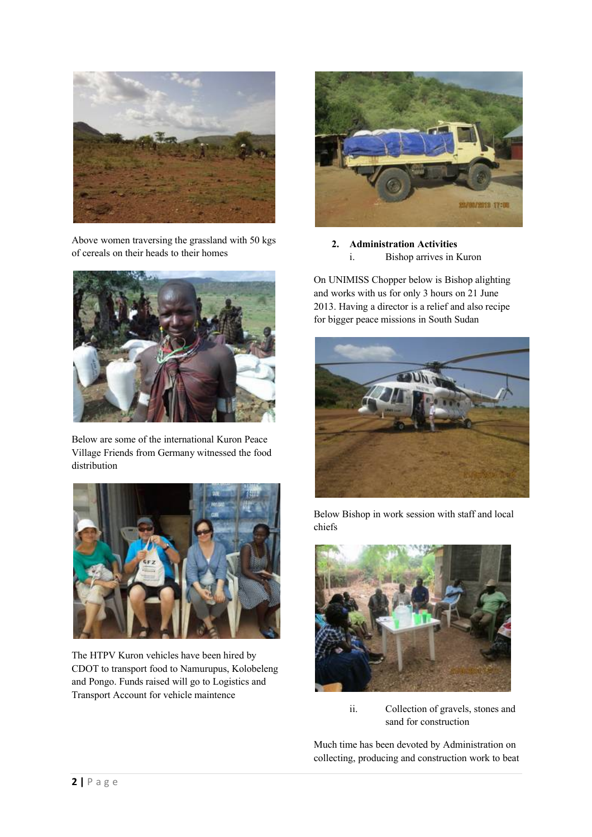

Above women traversing the grassland with 50 kgs of cereals on their heads to their homes



Below are some of the international Kuron Peace Village Friends from Germany witnessed the food distribution



The HTPV Kuron vehicles have been hired by CDOT to transport food to Namurupus, Kolobeleng and Pongo. Funds raised will go to Logistics and Transport Account for vehicle maintence



**2. Administration Activities** i. Bishop arrives in Kuron

On UNIMISS Chopper below is Bishop alighting and works with us for only 3 hours on 21 June 2013. Having a director is a relief and also recipe for bigger peace missions in South Sudan



Below Bishop in work session with staff and local chiefs



ii. Collection of gravels, stones and sand for construction

Much time has been devoted by Administration on collecting, producing and construction work to beat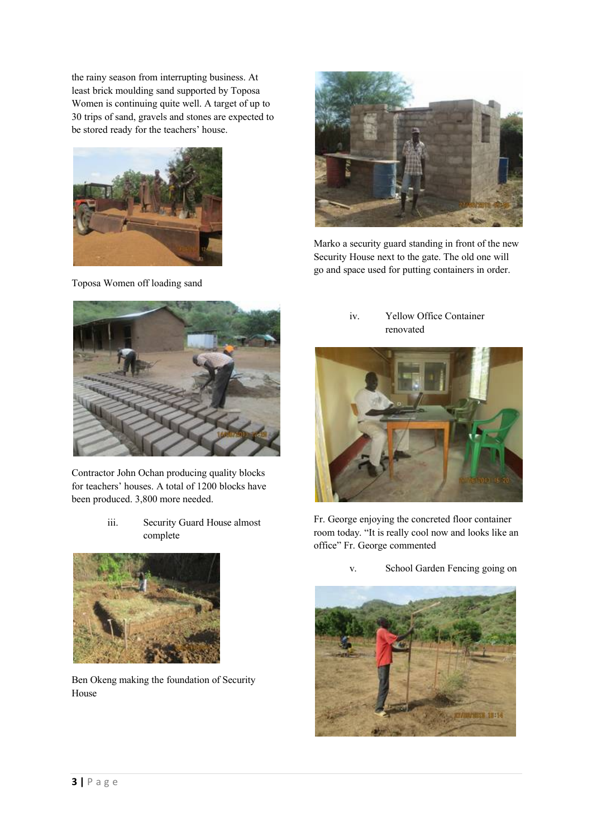the rainy season from interrupting business. At least brick moulding sand supported by Toposa Women is continuing quite well. A target of up to 30 trips of sand, gravels and stones are expected to be stored ready for the teachers' house.



Toposa Women off loading sand



Contractor John Ochan producing quality blocks for teachers' houses. A total of 1200 blocks have been produced. 3,800 more needed.

> iii. Security Guard House almost complete



Ben Okeng making the foundation of Security House



Marko a security guard standing in front of the new Security House next to the gate. The old one will go and space used for putting containers in order.

iv. Yellow Office Container renovated



Fr. George enjoying the concreted floor container room today. "It is really cool now and looks like an office" Fr. George commented



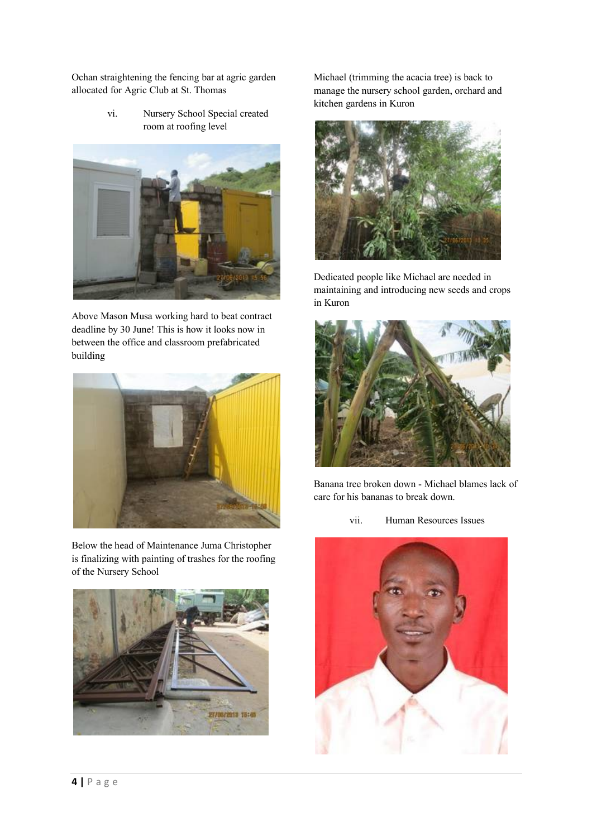Ochan straightening the fencing bar at agric garden allocated for Agric Club at St. Thomas

> vi. Nursery School Special created room at roofing level



Above Mason Musa working hard to beat contract deadline by 30 June! This is how it looks now in between the office and classroom prefabricated building



Below the head of Maintenance Juma Christopher is finalizing with painting of trashes for the roofing of the Nursery School



Michael (trimming the acacia tree) is back to manage the nursery school garden, orchard and kitchen gardens in Kuron



Dedicated people like Michael are needed in maintaining and introducing new seeds and crops in Kuron



Banana tree broken down - Michael blames lack of care for his bananas to break down.

vii. Human Resources Issues